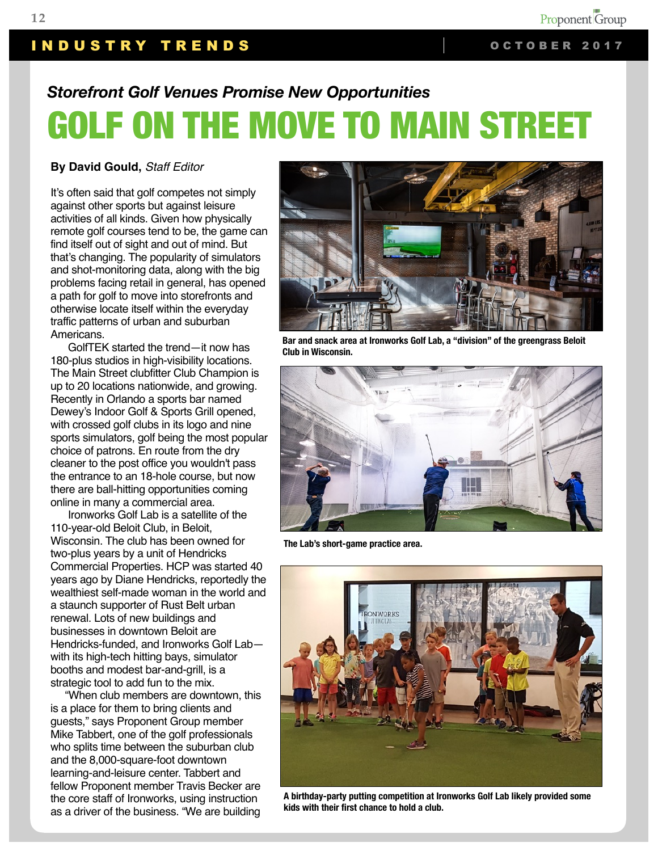# INDUSTRY TRENDS | OCTOBER 2017

# *Storefront Golf Venues Promise New Opportunities* GOLF ON THE MOVE TO MAIN STREET

#### **By David Gould,** *Staff Editor*

It's often said that golf competes not simply against other sports but against leisure activities of all kinds. Given how physically remote golf courses tend to be, the game can find itself out of sight and out of mind. But that's changing. The popularity of simulators and shot-monitoring data, along with the big problems facing retail in general, has opened a path for golf to move into storefronts and otherwise locate itself within the everyday traffic patterns of urban and suburban Americans.

 GolfTEK started the trend—it now has 180-plus studios in high-visibility locations. The Main Street clubfitter Club Champion is up to 20 locations nationwide, and growing. Recently in Orlando a sports bar named Dewey's Indoor Golf & Sports Grill opened, with crossed golf clubs in its logo and nine sports simulators, golf being the most popular choice of patrons. En route from the dry cleaner to the post office you wouldn't pass the entrance to an 18-hole course, but now there are ball-hitting opportunities coming online in many a commercial area.

 Ironworks Golf Lab is a satellite of the 110-year-old Beloit Club, in Beloit, Wisconsin. The club has been owned for two-plus years by a unit of Hendricks Commercial Properties. HCP was started 40 years ago by Diane Hendricks, reportedly the wealthiest self-made woman in the world and a staunch supporter of Rust Belt urban renewal. Lots of new buildings and businesses in downtown Beloit are Hendricks-funded, and Ironworks Golf Lab with its high-tech hitting bays, simulator booths and modest bar-and-grill, is a strategic tool to add fun to the mix.

 "When club members are downtown, this is a place for them to bring clients and guests," says Proponent Group member Mike Tabbert, one of the golf professionals who splits time between the suburban club and the 8,000-square-foot downtown learning-and-leisure center. Tabbert and fellow Proponent member Travis Becker are the core staff of Ironworks, using instruction as a driver of the business. "We are building



**Bar and snack area at Ironworks Golf Lab, a "division" of the greengrass Beloit Club in Wisconsin.**



**The Lab's short-game practice area.**



**A birthday-party putting competition at Ironworks Golf Lab likely provided some kids with their first chance to hold a club.**